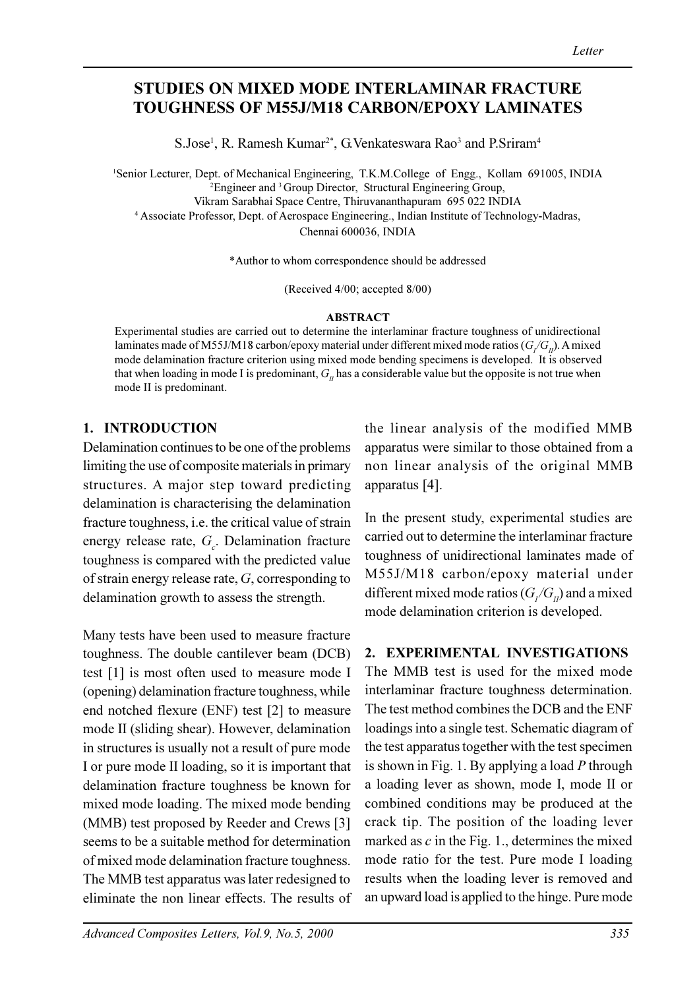# STUDIES ON MIXED MODE INTERLAMINAR FRACTURE TOUGHNESS OF M55J/M18 CARBON/EPOXY LAMINATES

S.Jose<sup>1</sup>, R. Ramesh Kumar<sup>2\*</sup>, G. Venkateswara Rao<sup>3</sup> and P. Sriram<sup>4</sup>

<sup>1</sup>Senior Lecturer, Dept. of Mechanical Engineering, T.K.M.College of Engg., Kollam 691005, INDIA <sup>2</sup>Engineer and <sup>3</sup> Group Director, Structural Engineering Group, Vikram Sarabhai Space Centre, Thiruvananthapuram 695 022 INDIA 4 Associate Professor, Dept. of Aerospace Engineering., Indian Institute of Technology-Madras, Chennai 600036, INDIA

\*Author to whom correspondence should be addressed

(Received 4/00; accepted 8/00)

### ABSTRACT

Experimental studies are carried out to determine the interlaminar fracture toughness of unidirectional laminates made of M55J/M18 carbon/epoxy material under different mixed mode ratios ( $G/G_n$ ). A mixed mode delamination fracture criterion using mixed mode bending specimens is developed. It is observed that when loading in mode I is predominant,  $G<sub>II</sub>$  has a considerable value but the opposite is not true when mode II is predominant.

## 1. INTRODUCTION

Delamination continues to be one of the problems limiting the use of composite materials in primary structures. A major step toward predicting delamination is characterising the delamination fracture toughness, i.e. the critical value of strain energy release rate,  $G_c$ . Delamination fracture toughness is compared with the predicted value of strain energy release rate, G, corresponding to delamination growth to assess the strength.

Many tests have been used to measure fracture toughness. The double cantilever beam (DCB) test [1] is most often used to measure mode I (opening) delamination fracture toughness, while end notched flexure (ENF) test [2] to measure mode II (sliding shear). However, delamination in structures is usually not a result of pure mode I or pure mode II loading, so it is important that delamination fracture toughness be known for mixed mode loading. The mixed mode bending (MMB) test proposed by Reeder and Crews [3] seems to be a suitable method for determination of mixed mode delamination fracture toughness. The MMB test apparatus was later redesigned to eliminate the non linear effects. The results of the linear analysis of the modified MMB apparatus were similar to those obtained from a non linear analysis of the original MMB apparatus [4].

In the present study, experimental studies are carried out to determine the interlaminar fracture toughness of unidirectional laminates made of M55J/M18 carbon/epoxy material under different mixed mode ratios ( $G_I/G_{II}$ ) and a mixed mode delamination criterion is developed.

2. EXPERIMENTAL INVESTIGATIONS

The MMB test is used for the mixed mode interlaminar fracture toughness determination. The test method combines the DCB and the ENF loadings into a single test. Schematic diagram of the test apparatus together with the test specimen is shown in Fig. 1. By applying a load  $P$  through a loading lever as shown, mode I, mode II or combined conditions may be produced at the crack tip. The position of the loading lever marked as  $c$  in the Fig. 1., determines the mixed mode ratio for the test. Pure mode I loading results when the loading lever is removed and an upward load is applied to the hinge. Pure mode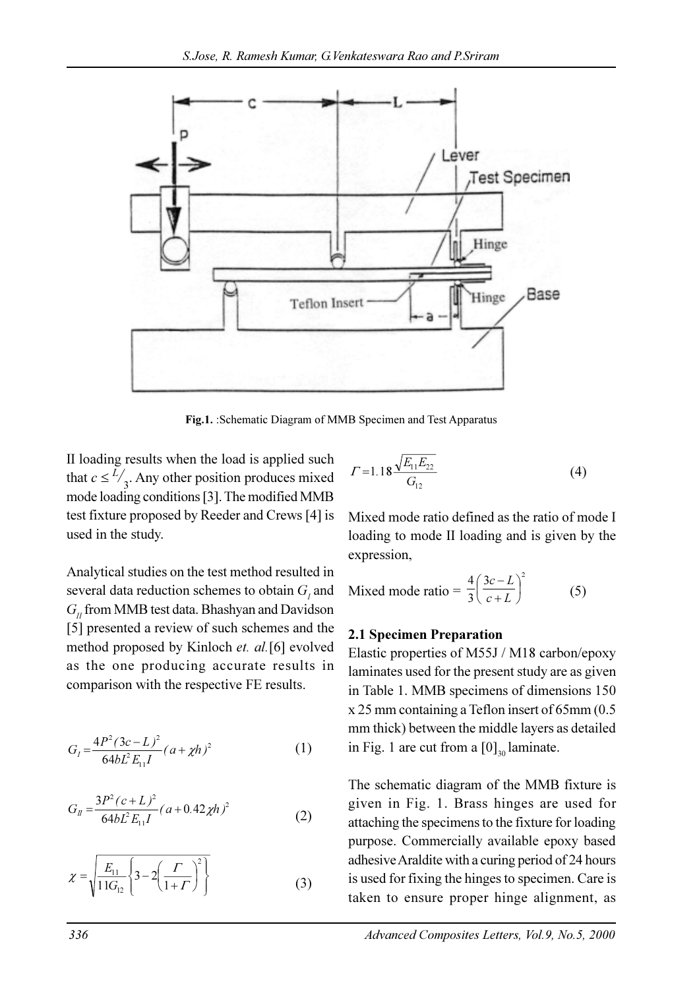

Fig.1. :Schematic Diagram of MMB Specimen and Test Apparatus

II loading results when the load is applied such that  $c \leq \frac{L}{3}$ . Any other position produces mixed mode loading conditions [3]. The modified MMB test fixture proposed by Reeder and Crews [4] is used in the study.

Analytical studies on the test method resulted in several data reduction schemes to obtain  $G<sub>I</sub>$  and  $G<sub>n</sub>$  from MMB test data. Bhashyan and Davidson [5] presented a review of such schemes and the method proposed by Kinloch et. al.[6] evolved as the one producing accurate results in comparison with the respective FE results.

$$
G_{I} = \frac{4P^{2}(3c - L)^{2}}{64bL^{2}E_{11}I}(a + \chi h)^{2}
$$
 (1)

$$
G_{II} = \frac{3P^2(c+L)^2}{64bL^2E_{11}I}(a+0.42\chi h)^2
$$
 (2)

$$
\chi = \sqrt{\frac{E_{11}}{11G_{12}} \left\{ 3 - 2\left(\frac{\Gamma}{1+\Gamma}\right)^2 \right\}}
$$
(3)

$$
\Gamma = 1.18 \frac{\sqrt{E_{11} E_{22}}}{G_{12}} \tag{4}
$$

Mixed mode ratio defined as the ratio of mode I loading to mode II loading and is given by the expression,

Mixed mode ratio = 
$$
\frac{4}{3} \left( \frac{3c - L}{c + L} \right)^2
$$
 (5)

### 2.1 Specimen Preparation

Elastic properties of M55J / M18 carbon/epoxy laminates used for the present study are as given in Table 1. MMB specimens of dimensions 150 x 25 mm containing a Teflon insert of 65mm (0.5 mm thick) between the middle layers as detailed in Fig. 1 are cut from a  $[0]_{30}$  laminate.

The schematic diagram of the MMB fixture is given in Fig. 1. Brass hinges are used for attaching the specimens to the fixture for loading purpose. Commercially available epoxy based adhesive Araldite with a curing period of 24 hours is used for fixing the hinges to specimen. Care is taken to ensure proper hinge alignment, as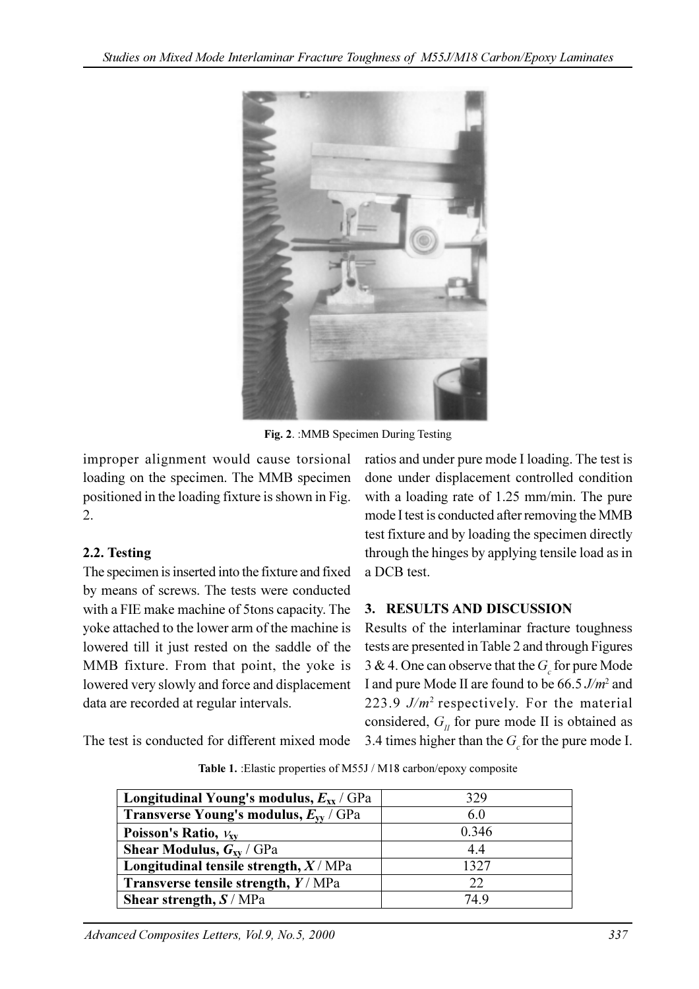

Fig. 2. :MMB Specimen During Testing

improper alignment would cause torsional loading on the specimen. The MMB specimen positioned in the loading fixture is shown in Fig. 2.

## 2.2. Testing

The specimen is inserted into the fixture and fixed by means of screws. The tests were conducted with a FIE make machine of 5tons capacity. The yoke attached to the lower arm of the machine is lowered till it just rested on the saddle of the MMB fixture. From that point, the yoke is lowered very slowly and force and displacement data are recorded at regular intervals.

ratios and under pure mode I loading. The test is done under displacement controlled condition with a loading rate of 1.25 mm/min. The pure mode I test is conducted after removing the MMB test fixture and by loading the specimen directly through the hinges by applying tensile load as in a DCB test.

# 3. RESULTS AND DISCUSSION

Results of the interlaminar fracture toughness tests are presented in Table 2 and through Figures 3 & 4. One can observe that the  $G_c$  for pure Mode I and pure Mode II are found to be 66.5 J/m<sup>2</sup> and 223.9  $J/m^2$  respectively. For the material considered,  $G<sub>II</sub>$  for pure mode II is obtained as 3.4 times higher than the  $G<sub>s</sub>$  for the pure mode I.

The test is conducted for different mixed mode

| Longitudinal Young's modulus, $E_{xx}$ / GPa                    | 329   |
|-----------------------------------------------------------------|-------|
| <b>Transverse Young's modulus, <math>E_{\rm w}</math> / GPa</b> | 6.0   |
| Poisson's Ratio, $v_{xy}$                                       | 0.346 |
| <b>Shear Modulus, <math>G_{xy}</math> / GPa</b>                 | 4.4   |
| Longitudinal tensile strength, $X/MPa$                          | 1327  |
| Transverse tensile strength, $Y/MPa$                            | 22    |
| Shear strength, $S/MPa$                                         | 749   |

Table 1. :Elastic properties of M55J / M18 carbon/epoxy composite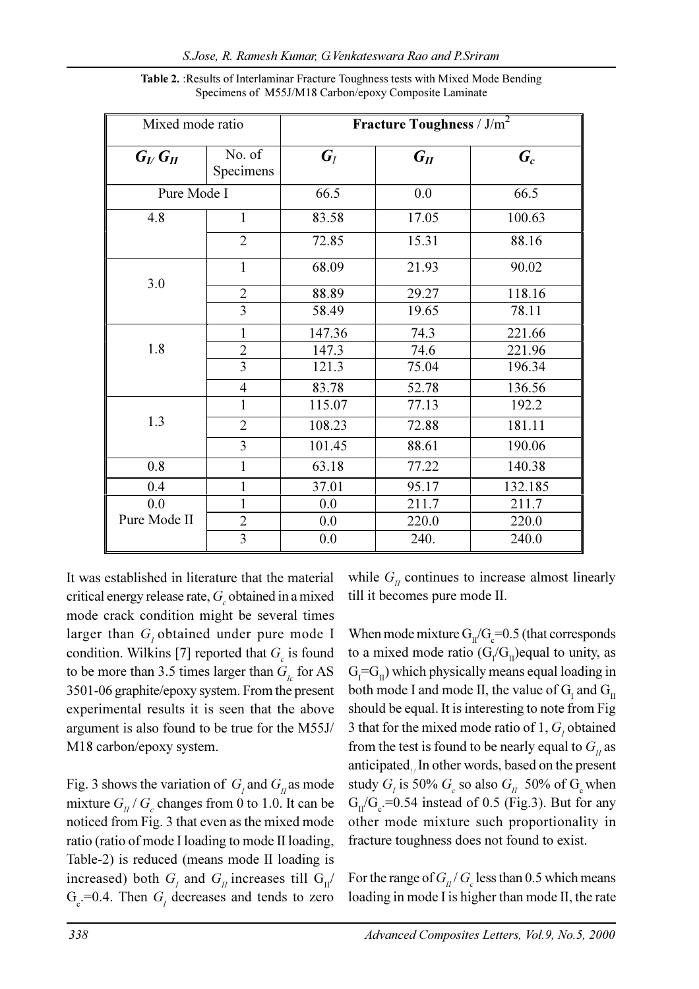| Mixed mode ratio |                     | <b>Fracture Toughness</b> / $J/m^2$ |          |         |
|------------------|---------------------|-------------------------------------|----------|---------|
| $G_V G_H$        | No. of<br>Specimens | $G_I$                               | $G_{II}$ | $G_c$   |
| Pure Mode I      |                     | 66.5                                | 0.0      | 66.5    |
| 4.8              | $\mathbf{1}$        | 83.58                               | 17.05    | 100.63  |
|                  | $\overline{2}$      | 72.85                               | 15.31    | 88.16   |
|                  | $\mathbf{1}$        | 68.09                               | 21.93    | 90.02   |
| 3.0              | $\overline{2}$      | 88.89                               | 29.27    | 118.16  |
|                  | $\overline{3}$      | 58.49                               | 19.65    | 78.11   |
|                  | $\mathbf{1}$        | 147.36                              | 74.3     | 221.66  |
| 1.8              | $\overline{2}$      | 147.3                               | 74.6     | 221.96  |
|                  | $\overline{3}$      | 121.3                               | 75.04    | 196.34  |
|                  | $\overline{4}$      | 83.78                               | 52.78    | 136.56  |
|                  | $\mathbf{1}$        | 115.07                              | 77.13    | 192.2   |
| 1.3              | $\overline{2}$      | 108.23                              | 72.88    | 181.11  |
|                  | $\overline{3}$      | 101.45                              | 88.61    | 190.06  |
| 0.8              | $\mathbf{1}$        | 63.18                               | 77.22    | 140.38  |
| 0.4              | 1                   | 37.01                               | 95.17    | 132.185 |
| 0.0              | 1                   | 0.0                                 | 211.7    | 211.7   |
| Pure Mode II     | $\overline{2}$      | 0.0                                 | 220.0    | 220.0   |
|                  | $\overline{3}$      | 0.0                                 | 240.     | 240.0   |

Table 2. :Results of Interlaminar Fracture Toughness tests with Mixed Mode Bending Specimens of M55J/M18 Carbon/epoxy Composite Laminate

It was established in literature that the material critical energy release rate,  $G_c$  obtained in a mixed mode crack condition might be several times larger than  $G_i$  obtained under pure mode I condition. Wilkins [7] reported that  $G_c$  is found to be more than 3.5 times larger than  $G_{i}$  for AS 3501-06 graphite/epoxy system. From the present experimental results it is seen that the above argument is also found to be true for the M55J/ M18 carbon/epoxy system.

Fig. 3 shows the variation of  $G<sub>I</sub>$  and  $G<sub>II</sub>$  as mode mixture  $G_{II}/G_c$  changes from 0 to 1.0. It can be noticed from Fig. 3 that even as the mixed mode ratio (ratio of mode I loading to mode II loading, Table-2) is reduced (means mode II loading is increased) both  $G<sub>I</sub>$  and  $G<sub>II</sub>$  increases till  $G<sub>II</sub>$  $G_c$ =0.4. Then  $G_i$  decreases and tends to zero

while  $G_{II}$  continues to increase almost linearly till it becomes pure mode II.

When mode mixture  $G_{II}/G_{c} = 0.5$  (that corresponds to a mixed mode ratio  $(G/G<sub>II</sub>)$ equal to unity, as  $G_{I} = G_{II}$ ) which physically means equal loading in both mode I and mode II, the value of  $\rm G_I$  and  $\rm G_{II}$ should be equal. It is interesting to note from Fig 3 that for the mixed mode ratio of 1,  $G<sub>j</sub>$  obtained from the test is found to be nearly equal to  $G<sub>II</sub>$  as anticipated. In other words, based on the present study  $G_i$  is 50%  $G_c$  so also  $G_{II}$  50% of  $G_c$  when  $G_{II}/G_c$ =0.54 instead of 0.5 (Fig.3). But for any other mode mixture such proportionality in fracture toughness does not found to exist.

For the range of  $G_{II}/G_c$  less than 0.5 which means loading in mode I is higher than mode II, the rate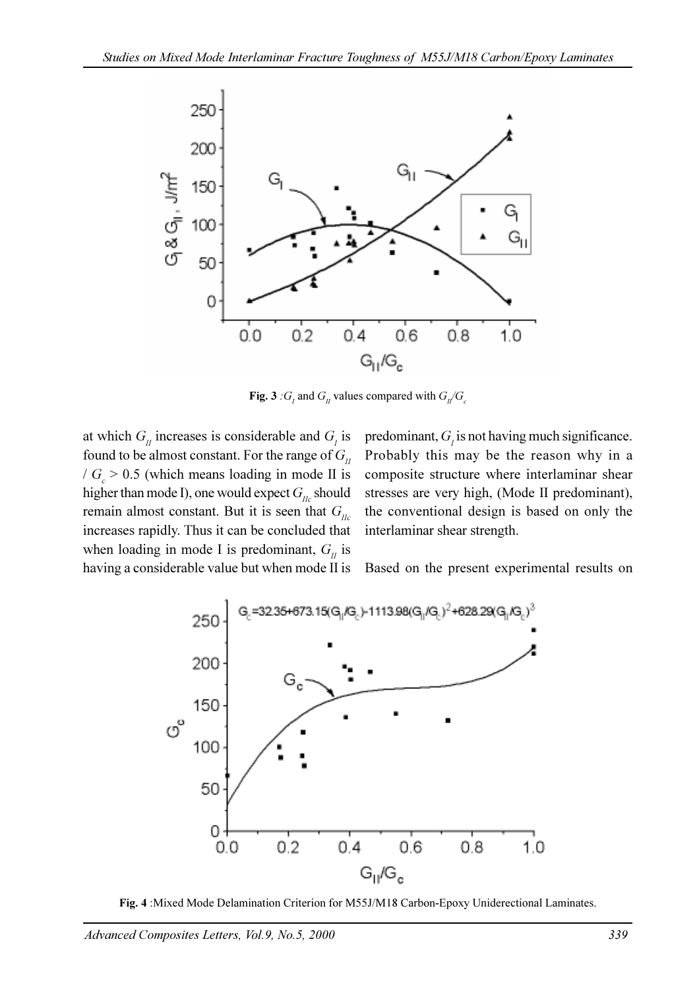

**Fig. 3** :  $G_i$  and  $G_i$  values compared with  $G_i/G_c$ 

at which  $G_{II}$  increases is considerable and  $G_{I}$  is found to be almost constant. For the range of  $G_{II}$  $/G_c > 0.5$  (which means loading in mode II is higher than mode I), one would expect  $G_{\mu}$  should remain almost constant. But it is seen that  $G_{\mu}$ increases rapidly. Thus it can be concluded that when loading in mode I is predominant,  $G<sub>II</sub>$  is having a considerable value but when mode II is

predominant,  $G<sub>l</sub>$  is not having much significance. Probably this may be the reason why in a composite structure where interlaminar shear stresses are very high, (Mode II predominant), the conventional design is based on only the interlaminar shear strength.

Based on the present experimental results on



Fig. 4 :Mixed Mode Delamination Criterion for M55J/M18 Carbon-Epoxy Uniderectional Laminates.